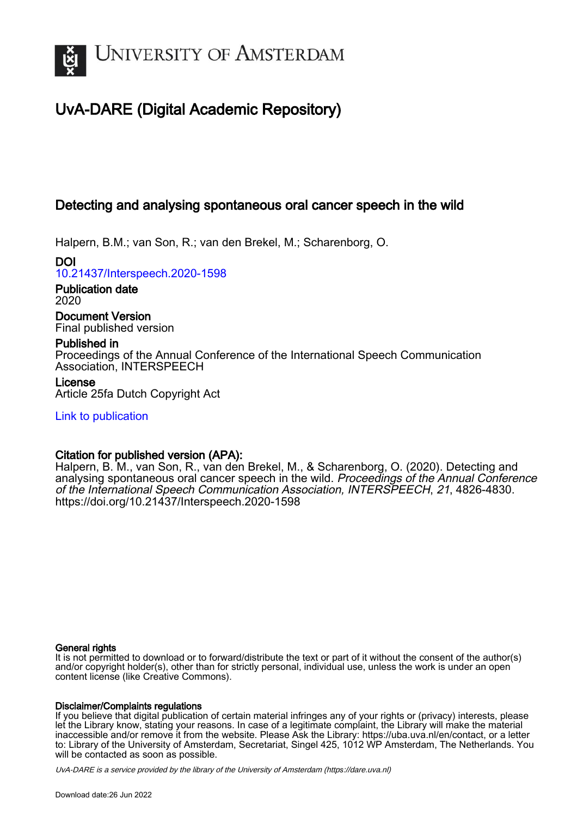

# UvA-DARE (Digital Academic Repository)

# Detecting and analysing spontaneous oral cancer speech in the wild

Halpern, B.M.; van Son, R.; van den Brekel, M.; Scharenborg, O.

DOI [10.21437/Interspeech.2020-1598](https://doi.org/10.21437/Interspeech.2020-1598)

Publication date 2020

Document Version Final published version

# Published in

Proceedings of the Annual Conference of the International Speech Communication Association, INTERSPEECH

# License

Article 25fa Dutch Copyright Act

[Link to publication](https://dare.uva.nl/personal/pure/en/publications/detecting-and-analysing-spontaneous-oral-cancer-speech-in-the-wild(08afe3cb-c359-440c-907d-10ec2ff38f1e).html)

# Citation for published version (APA):

Halpern, B. M., van Son, R., van den Brekel, M., & Scharenborg, O. (2020). Detecting and analysing spontaneous oral cancer speech in the wild. Proceedings of the Annual Conference of the International Speech Communication Association, INTERSPEECH, 21, 4826-4830. <https://doi.org/10.21437/Interspeech.2020-1598>

# General rights

It is not permitted to download or to forward/distribute the text or part of it without the consent of the author(s) and/or copyright holder(s), other than for strictly personal, individual use, unless the work is under an open content license (like Creative Commons).

# Disclaimer/Complaints regulations

If you believe that digital publication of certain material infringes any of your rights or (privacy) interests, please let the Library know, stating your reasons. In case of a legitimate complaint, the Library will make the material inaccessible and/or remove it from the website. Please Ask the Library: https://uba.uva.nl/en/contact, or a letter to: Library of the University of Amsterdam, Secretariat, Singel 425, 1012 WP Amsterdam, The Netherlands. You will be contacted as soon as possible.

UvA-DARE is a service provided by the library of the University of Amsterdam (http*s*://dare.uva.nl)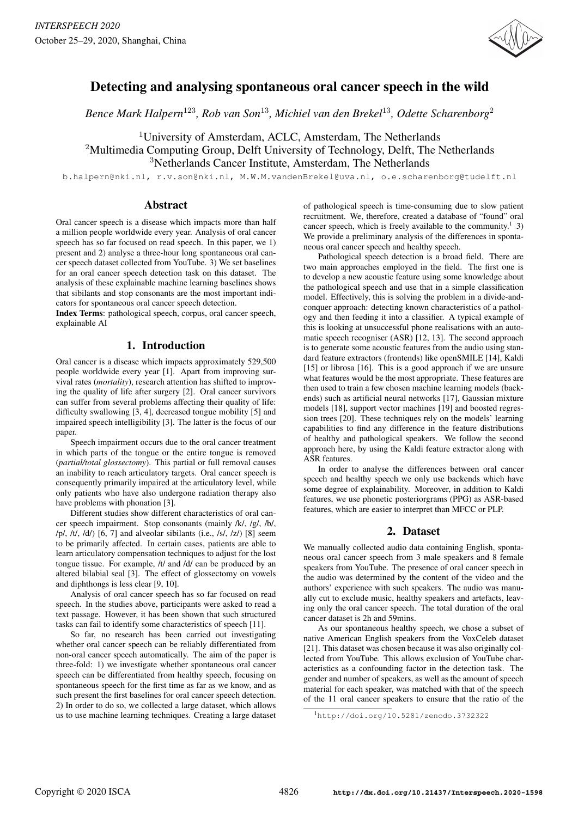

# Detecting and analysing spontaneous oral cancer speech in the wild

*Bence Mark Halpern*<sup>123</sup>*, Rob van Son*<sup>13</sup>*, Michiel van den Brekel*<sup>13</sup>*, Odette Scharenborg*<sup>2</sup>

<sup>1</sup>University of Amsterdam, ACLC, Amsterdam, The Netherlands

<sup>2</sup>Multimedia Computing Group, Delft University of Technology, Delft, The Netherlands <sup>3</sup>Netherlands Cancer Institute, Amsterdam, The Netherlands

b.halpern@nki.nl, r.v.son@nki.nl, M.W.M.vandenBrekel@uva.nl, o.e.scharenborg@tudelft.nl

### Abstract

Oral cancer speech is a disease which impacts more than half a million people worldwide every year. Analysis of oral cancer speech has so far focused on read speech. In this paper, we 1) present and 2) analyse a three-hour long spontaneous oral cancer speech dataset collected from YouTube. 3) We set baselines for an oral cancer speech detection task on this dataset. The analysis of these explainable machine learning baselines shows that sibilants and stop consonants are the most important indicators for spontaneous oral cancer speech detection.

Index Terms: pathological speech, corpus, oral cancer speech, explainable AI

# 1. Introduction

Oral cancer is a disease which impacts approximately 529,500 people worldwide every year [1]. Apart from improving survival rates (*mortality*), research attention has shifted to improving the quality of life after surgery [2]. Oral cancer survivors can suffer from several problems affecting their quality of life: difficulty swallowing [3, 4], decreased tongue mobility [5] and impaired speech intelligibility [3]. The latter is the focus of our paper.

Speech impairment occurs due to the oral cancer treatment in which parts of the tongue or the entire tongue is removed (*partial/total glossectomy*). This partial or full removal causes an inability to reach articulatory targets. Oral cancer speech is consequently primarily impaired at the articulatory level, while only patients who have also undergone radiation therapy also have problems with phonation [3].

Different studies show different characteristics of oral cancer speech impairment. Stop consonants (mainly /k/, /g/, /b/,  $/p/$ ,  $/t/$ ,  $/d/$ ) [6, 7] and alveolar sibilants (i.e.,  $/s/$ ,  $/z/$ ) [8] seem to be primarily affected. In certain cases, patients are able to learn articulatory compensation techniques to adjust for the lost tongue tissue. For example, /t/ and /d/ can be produced by an altered bilabial seal [3]. The effect of glossectomy on vowels and diphthongs is less clear [9, 10].

Analysis of oral cancer speech has so far focused on read speech. In the studies above, participants were asked to read a text passage. However, it has been shown that such structured tasks can fail to identify some characteristics of speech [11].

So far, no research has been carried out investigating whether oral cancer speech can be reliably differentiated from non-oral cancer speech automatically. The aim of the paper is three-fold: 1) we investigate whether spontaneous oral cancer speech can be differentiated from healthy speech, focusing on spontaneous speech for the first time as far as we know, and as such present the first baselines for oral cancer speech detection. 2) In order to do so, we collected a large dataset, which allows us to use machine learning techniques. Creating a large dataset

of pathological speech is time-consuming due to slow patient recruitment. We, therefore, created a database of "found" oral cancer speech, which is freely available to the community.<sup>1</sup> 3) We provide a preliminary analysis of the differences in spontaneous oral cancer speech and healthy speech.

Pathological speech detection is a broad field. There are two main approaches employed in the field. The first one is to develop a new acoustic feature using some knowledge about the pathological speech and use that in a simple classification model. Effectively, this is solving the problem in a divide-andconquer approach: detecting known characteristics of a pathology and then feeding it into a classifier. A typical example of this is looking at unsuccessful phone realisations with an automatic speech recogniser (ASR) [12, 13]. The second approach is to generate some acoustic features from the audio using standard feature extractors (frontends) like openSMILE [14], Kaldi [15] or librosa [16]. This is a good approach if we are unsure what features would be the most appropriate. These features are then used to train a few chosen machine learning models (backends) such as artificial neural networks [17], Gaussian mixture models [18], support vector machines [19] and boosted regression trees [20]. These techniques rely on the models' learning capabilities to find any difference in the feature distributions of healthy and pathological speakers. We follow the second approach here, by using the Kaldi feature extractor along with ASR features.

In order to analyse the differences between oral cancer speech and healthy speech we only use backends which have some degree of explainability. Moreover, in addition to Kaldi features, we use phonetic posteriorgrams (PPG) as ASR-based features, which are easier to interpret than MFCC or PLP.

# 2. Dataset

We manually collected audio data containing English, spontaneous oral cancer speech from 3 male speakers and 8 female speakers from YouTube. The presence of oral cancer speech in the audio was determined by the content of the video and the authors' experience with such speakers. The audio was manually cut to exclude music, healthy speakers and artefacts, leaving only the oral cancer speech. The total duration of the oral cancer dataset is 2h and 59mins.

As our spontaneous healthy speech, we chose a subset of native American English speakers from the VoxCeleb dataset [21]. This dataset was chosen because it was also originally collected from YouTube. This allows exclusion of YouTube characteristics as a confounding factor in the detection task. The gender and number of speakers, as well as the amount of speech material for each speaker, was matched with that of the speech of the 11 oral cancer speakers to ensure that the ratio of the

<sup>1</sup>http://doi.org/10.5281/zenodo.3732322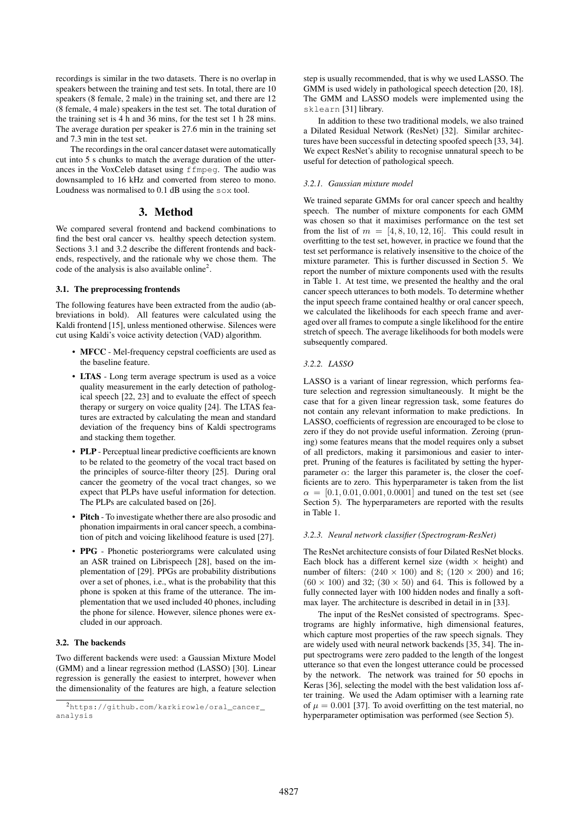recordings is similar in the two datasets. There is no overlap in speakers between the training and test sets. In total, there are 10 speakers (8 female, 2 male) in the training set, and there are 12 (8 female, 4 male) speakers in the test set. The total duration of the training set is 4 h and 36 mins, for the test set 1 h 28 mins. The average duration per speaker is 27.6 min in the training set and 7.3 min in the test set.

The recordings in the oral cancer dataset were automatically cut into 5 s chunks to match the average duration of the utterances in the VoxCeleb dataset using ffmpeg. The audio was downsampled to 16 kHz and converted from stereo to mono. Loudness was normalised to 0.1 dB using the sox tool.

#### 3. Method

We compared several frontend and backend combinations to find the best oral cancer vs. healthy speech detection system. Sections 3.1 and 3.2 describe the different frontends and backends, respectively, and the rationale why we chose them. The code of the analysis is also available online<sup>2</sup>.

#### 3.1. The preprocessing frontends

The following features have been extracted from the audio (abbreviations in bold). All features were calculated using the Kaldi frontend [15], unless mentioned otherwise. Silences were cut using Kaldi's voice activity detection (VAD) algorithm.

- MFCC Mel-frequency cepstral coefficients are used as the baseline feature.
- LTAS Long term average spectrum is used as a voice quality measurement in the early detection of pathological speech [22, 23] and to evaluate the effect of speech therapy or surgery on voice quality [24]. The LTAS features are extracted by calculating the mean and standard deviation of the frequency bins of Kaldi spectrograms and stacking them together.
- PLP Perceptual linear predictive coefficients are known to be related to the geometry of the vocal tract based on the principles of source-filter theory [25]. During oral cancer the geometry of the vocal tract changes, so we expect that PLPs have useful information for detection. The PLPs are calculated based on [26].
- Pitch To investigate whether there are also prosodic and phonation impairments in oral cancer speech, a combination of pitch and voicing likelihood feature is used [27].
- PPG Phonetic posteriorgrams were calculated using an ASR trained on Librispeech [28], based on the implementation of [29]. PPGs are probability distributions over a set of phones, i.e., what is the probability that this phone is spoken at this frame of the utterance. The implementation that we used included 40 phones, including the phone for silence. However, silence phones were excluded in our approach.

#### 3.2. The backends

Two different backends were used: a Gaussian Mixture Model (GMM) and a linear regression method (LASSO) [30]. Linear regression is generally the easiest to interpret, however when the dimensionality of the features are high, a feature selection

step is usually recommended, that is why we used LASSO. The GMM is used widely in pathological speech detection [20, 18]. The GMM and LASSO models were implemented using the sklearn [31] library.

In addition to these two traditional models, we also trained a Dilated Residual Network (ResNet) [32]. Similar architectures have been successful in detecting spoofed speech [33, 34]. We expect ResNet's ability to recognise unnatural speech to be useful for detection of pathological speech.

#### *3.2.1. Gaussian mixture model*

We trained separate GMMs for oral cancer speech and healthy speech. The number of mixture components for each GMM was chosen so that it maximises performance on the test set from the list of  $m = [4, 8, 10, 12, 16]$ . This could result in overfitting to the test set, however, in practice we found that the test set performance is relatively insensitive to the choice of the mixture parameter. This is further discussed in Section 5. We report the number of mixture components used with the results in Table 1. At test time, we presented the healthy and the oral cancer speech utterances to both models. To determine whether the input speech frame contained healthy or oral cancer speech, we calculated the likelihoods for each speech frame and averaged over all frames to compute a single likelihood for the entire stretch of speech. The average likelihoods for both models were subsequently compared.

#### *3.2.2. LASSO*

LASSO is a variant of linear regression, which performs feature selection and regression simultaneously. It might be the case that for a given linear regression task, some features do not contain any relevant information to make predictions. In LASSO, coefficients of regression are encouraged to be close to zero if they do not provide useful information. Zeroing (pruning) some features means that the model requires only a subset of all predictors, making it parsimonious and easier to interpret. Pruning of the features is facilitated by setting the hyperparameter  $\alpha$ : the larger this parameter is, the closer the coefficients are to zero. This hyperparameter is taken from the list  $\alpha = [0.1, 0.01, 0.001, 0.0001]$  and tuned on the test set (see Section 5). The hyperparameters are reported with the results in Table 1.

#### *3.2.3. Neural network classifier (Spectrogram-ResNet)*

The ResNet architecture consists of four Dilated ResNet blocks. Each block has a different kernel size (width  $\times$  height) and number of filters:  $(240 \times 100)$  and 8;  $(120 \times 200)$  and 16;  $(60 \times 100)$  and 32;  $(30 \times 50)$  and 64. This is followed by a fully connected layer with 100 hidden nodes and finally a softmax layer. The architecture is described in detail in in [33].

The input of the ResNet consisted of spectrograms. Spectrograms are highly informative, high dimensional features, which capture most properties of the raw speech signals. They are widely used with neural network backends [35, 34]. The input spectrograms were zero padded to the length of the longest utterance so that even the longest utterance could be processed by the network. The network was trained for 50 epochs in Keras [36], selecting the model with the best validation loss after training. We used the Adam optimiser with a learning rate of  $\mu = 0.001$  [37]. To avoid overfitting on the test material, no hyperparameter optimisation was performed (see Section 5).

<sup>2</sup>https://github.com/karkirowle/oral\_cancer\_ analysis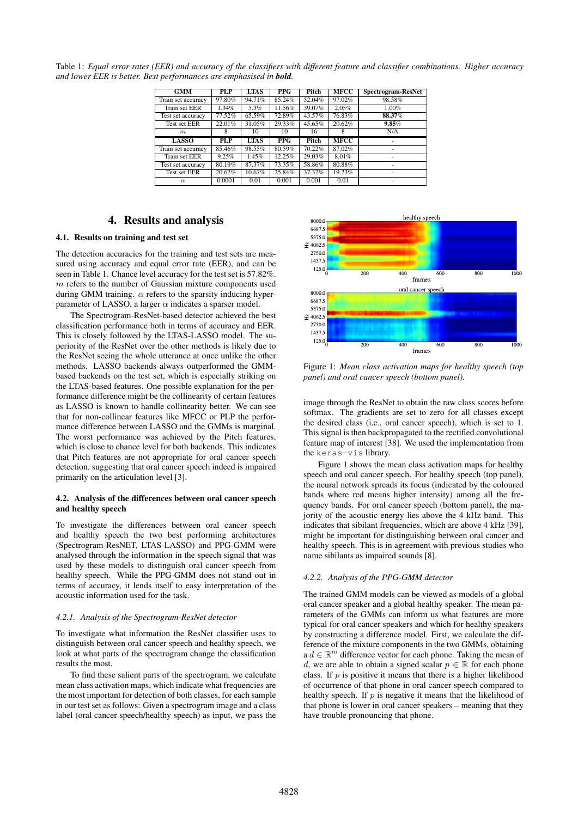Table 1: *Equal error rates (EER) and accuracy of the classifiers with different feature and classifier combinations. Higher accuracy and lower EER is better. Best performances are emphasised in bold.*

| <b>GMM</b>         | PLP    | <b>LTAS</b> | <b>PPG</b> | Pitch  | <b>MFCC</b> | Spectrogram-ResNet |
|--------------------|--------|-------------|------------|--------|-------------|--------------------|
| Train set accuracy | 97.80% | 94.71%      | 85.24%     | 52.04% | 97.02%      | 98.58%             |
| Train set EER      | 1.34%  | 5.3%        | 11.56%     | 39.07% | 2.05%       | 1.00%              |
| Test set accuracy  | 77.52% | 65.59%      | 72.89%     | 43.57% | 76.83%      | 88.37%             |
| Test set EER       | 22.01% | 31.05%      | 29.33%     | 45.65% | 20.62%      | 9.85%              |
| m                  | 8      | 10          | 10         | 16     | 8           | N/A                |
|                    |        |             |            |        |             |                    |
| <b>LASSO</b>       | PLP    | <b>LTAS</b> | PPG        | Pitch  | <b>MFCC</b> | ۰                  |
| Train set accuracy | 85.46% | 98.55%      | 80.59%     | 70.22% | 87.02%      | ۰                  |
| Train set EER      | 9.25%  | 1.45%       | 12.25%     | 29.03% | 8.01%       | ۰                  |
| Test set accuracy  | 80.19% | 87.37%      | 73.35%     | 58.86% | 80.88%      | ۰                  |
| Test set EER       | 20.62% | 10.67%      | 25.84%     | 37.32% | 19.23%      |                    |

# 4. Results and analysis

### 4.1. Results on training and test set

The detection accuracies for the training and test sets are measured using accuracy and equal error rate (EER), and can be seen in Table 1. Chance level accuracy for the test set is 57.82%.  $m$  refers to the number of Gaussian mixture components used during GMM training.  $\alpha$  refers to the sparsity inducing hyperparameter of LASSO, a larger  $\alpha$  indicates a sparser model.

The Spectrogram-ResNet-based detector achieved the best classification performance both in terms of accuracy and EER. This is closely followed by the LTAS-LASSO model. The superiority of the ResNet over the other methods is likely due to the ResNet seeing the whole utterance at once unlike the other methods. LASSO backends always outperformed the GMMbased backends on the test set, which is especially striking on the LTAS-based features. One possible explanation for the performance difference might be the collinearity of certain features as LASSO is known to handle collinearity better. We can see that for non-collinear features like MFCC or PLP the performance difference between LASSO and the GMMs is marginal. The worst performance was achieved by the Pitch features, which is close to chance level for both backends. This indicates that Pitch features are not appropriate for oral cancer speech detection, suggesting that oral cancer speech indeed is impaired primarily on the articulation level [3].

#### 4.2. Analysis of the differences between oral cancer speech and healthy speech

To investigate the differences between oral cancer speech and healthy speech the two best performing architectures (Spectrogram-ResNET, LTAS-LASSO) and PPG-GMM were analysed through the information in the speech signal that was used by these models to distinguish oral cancer speech from healthy speech. While the PPG-GMM does not stand out in terms of accuracy, it lends itself to easy interpretation of the acoustic information used for the task.

#### *4.2.1. Analysis of the Spectrogram-ResNet detector*

To investigate what information the ResNet classifier uses to distinguish between oral cancer speech and healthy speech, we look at what parts of the spectrogram change the classification results the most.

To find these salient parts of the spectrogram, we calculate mean class activation maps, which indicate what frequencies are the most important for detection of both classes, for each sample in our test set as follows: Given a spectrogram image and a class label (oral cancer speech/healthy speech) as input, we pass the



Figure 1: *Mean class activation maps for healthy speech (top panel) and oral cancer speech (bottom panel).*

image through the ResNet to obtain the raw class scores before softmax. The gradients are set to zero for all classes except the desired class (i.e., oral cancer speech), which is set to 1. This signal is then backpropagated to the rectified convolutional feature map of interest [38]. We used the implementation from the keras-vis library.

Figure 1 shows the mean class activation maps for healthy speech and oral cancer speech. For healthy speech (top panel), the neural network spreads its focus (indicated by the coloured bands where red means higher intensity) among all the frequency bands. For oral cancer speech (bottom panel), the majority of the acoustic energy lies above the 4 kHz band. This indicates that sibilant frequencies, which are above 4 kHz [39], might be important for distinguishing between oral cancer and healthy speech. This is in agreement with previous studies who name sibilants as impaired sounds [8].

#### *4.2.2. Analysis of the PPG-GMM detector*

The trained GMM models can be viewed as models of a global oral cancer speaker and a global healthy speaker. The mean parameters of the GMMs can inform us what features are more typical for oral cancer speakers and which for healthy speakers by constructing a difference model. First, we calculate the difference of the mixture components in the two GMMs, obtaining  $a d \in \mathbb{R}^m$  difference vector for each phone. Taking the mean of d, we are able to obtain a signed scalar  $p \in \mathbb{R}$  for each phone class. If  $p$  is positive it means that there is a higher likelihood of occurrence of that phone in oral cancer speech compared to healthy speech. If  $p$  is negative it means that the likelihood of that phone is lower in oral cancer speakers – meaning that they have trouble pronouncing that phone.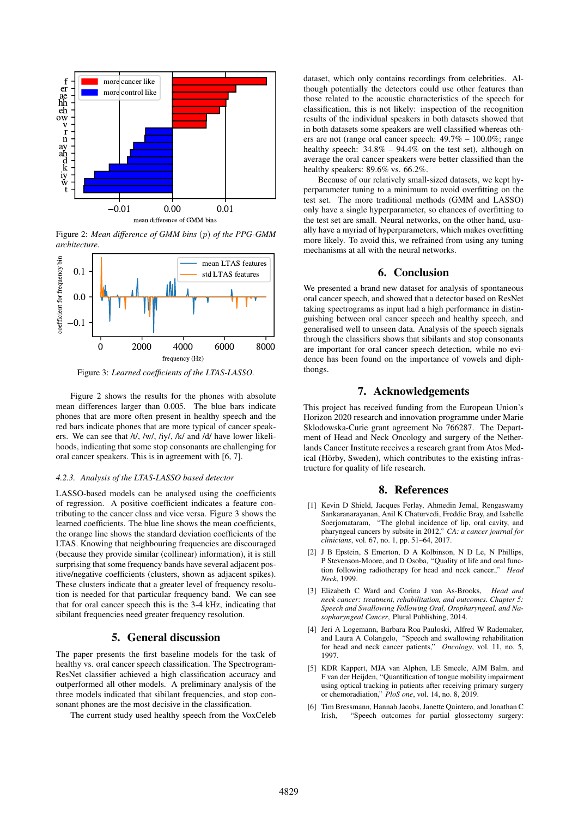

Figure 2: *Mean difference of GMM bins* (p) *of the PPG-GMM architecture.*



Figure 3: *Learned coefficients of the LTAS-LASSO.*

Figure 2 shows the results for the phones with absolute mean differences larger than 0.005. The blue bars indicate phones that are more often present in healthy speech and the red bars indicate phones that are more typical of cancer speakers. We can see that /t/, /w/, /iy/, /k/ and /d/ have lower likelihoods, indicating that some stop consonants are challenging for oral cancer speakers. This is in agreement with [6, 7].

#### *4.2.3. Analysis of the LTAS-LASSO based detector*

LASSO-based models can be analysed using the coefficients of regression. A positive coefficient indicates a feature contributing to the cancer class and vice versa. Figure 3 shows the learned coefficients. The blue line shows the mean coefficients, the orange line shows the standard deviation coefficients of the LTAS. Knowing that neighbouring frequencies are discouraged (because they provide similar (collinear) information), it is still surprising that some frequency bands have several adjacent positive/negative coefficients (clusters, shown as adjacent spikes). These clusters indicate that a greater level of frequency resolution is needed for that particular frequency band. We can see that for oral cancer speech this is the 3-4 kHz, indicating that sibilant frequencies need greater frequency resolution.

## 5. General discussion

The paper presents the first baseline models for the task of healthy vs. oral cancer speech classification. The Spectrogram-ResNet classifier achieved a high classification accuracy and outperformed all other models. A preliminary analysis of the three models indicated that sibilant frequencies, and stop consonant phones are the most decisive in the classification.

The current study used healthy speech from the VoxCeleb

dataset, which only contains recordings from celebrities. Although potentially the detectors could use other features than those related to the acoustic characteristics of the speech for classification, this is not likely: inspection of the recognition results of the individual speakers in both datasets showed that in both datasets some speakers are well classified whereas others are not (range oral cancer speech: 49.7% – 100.0%; range healthy speech:  $34.8\% - 94.4\%$  on the test set), although on average the oral cancer speakers were better classified than the healthy speakers: 89.6% vs. 66.2%.

Because of our relatively small-sized datasets, we kept hyperparameter tuning to a minimum to avoid overfitting on the test set. The more traditional methods (GMM and LASSO) only have a single hyperparameter, so chances of overfitting to the test set are small. Neural networks, on the other hand, usually have a myriad of hyperparameters, which makes overfitting more likely. To avoid this, we refrained from using any tuning mechanisms at all with the neural networks.

# 6. Conclusion

We presented a brand new dataset for analysis of spontaneous oral cancer speech, and showed that a detector based on ResNet taking spectrograms as input had a high performance in distinguishing between oral cancer speech and healthy speech, and generalised well to unseen data. Analysis of the speech signals through the classifiers shows that sibilants and stop consonants are important for oral cancer speech detection, while no evidence has been found on the importance of vowels and diphthongs.

## 7. Acknowledgements

This project has received funding from the European Union's Horizon 2020 research and innovation programme under Marie Sklodowska-Curie grant agreement No 766287. The Department of Head and Neck Oncology and surgery of the Netherlands Cancer Institute receives a research grant from Atos Medical (Hörby, Sweden), which contributes to the existing infrastructure for quality of life research.

#### 8. References

- [1] Kevin D Shield, Jacques Ferlay, Ahmedin Jemal, Rengaswamy Sankaranarayanan, Anil K Chaturvedi, Freddie Bray, and Isabelle Soerjomataram, "The global incidence of lip, oral cavity, and pharyngeal cancers by subsite in 2012," *CA: a cancer journal for clinicians*, vol. 67, no. 1, pp. 51–64, 2017.
- [2] J B Epstein, S Emerton, D A Kolbinson, N D Le, N Phillips, P Stevenson-Moore, and D Osoba, "Quality of life and oral function following radiotherapy for head and neck cancer.," *Head Neck*, 1999.
- [3] Elizabeth C Ward and Corina J van As-Brooks, *Head and neck cancer: treatment, rehabilitation, and outcomes. Chapter 5: Speech and Swallowing Following Oral, Oropharyngeal, and Nasopharyngeal Cancer*, Plural Publishing, 2014.
- [4] Jeri A Logemann, Barbara Roa Pauloski, Alfred W Rademaker, and Laura A Colangelo, "Speech and swallowing rehabilitation for head and neck cancer patients," *Oncology*, vol. 11, no. 5, 1997.
- [5] KDR Kappert, MJA van Alphen, LE Smeele, AJM Balm, and F van der Heijden, "Quantification of tongue mobility impairment using optical tracking in patients after receiving primary surgery or chemoradiation," *PloS one*, vol. 14, no. 8, 2019.
- [6] Tim Bressmann, Hannah Jacobs, Janette Quintero, and Jonathan C Irish, "Speech outcomes for partial glossectomy surgery: